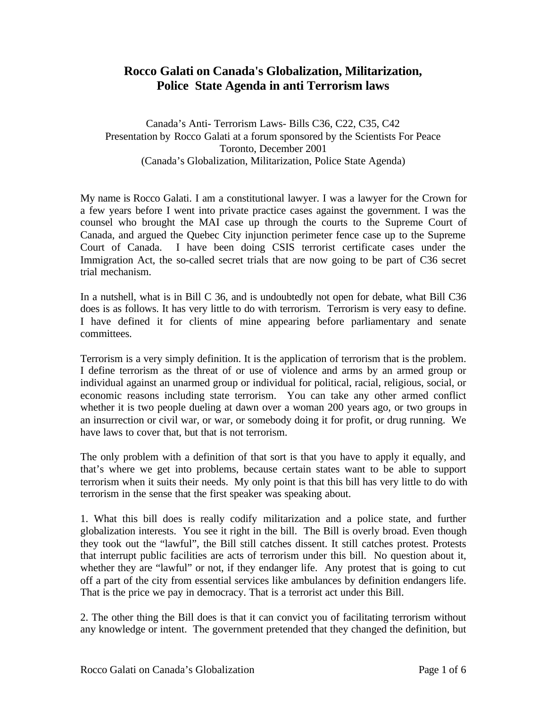## **Rocco Galati on Canada's Globalization, Militarization, Police State Agenda in anti Terrorism laws**

Canada's Anti- Terrorism Laws- Bills C36, C22, C35, C42 Presentation by Rocco Galati at a forum sponsored by the Scientists For Peace Toronto, December 2001 (Canada's Globalization, Militarization, Police State Agenda)

My name is Rocco Galati. I am a constitutional lawyer. I was a lawyer for the Crown for a few years before I went into private practice cases against the government. I was the counsel who brought the MAI case up through the courts to the Supreme Court of Canada, and argued the Quebec City injunction perimeter fence case up to the Supreme Court of Canada. I have been doing CSIS terrorist certificate cases under the Immigration Act, the so-called secret trials that are now going to be part of C36 secret trial mechanism.

In a nutshell, what is in Bill C 36, and is undoubtedly not open for debate, what Bill C36 does is as follows. It has very little to do with terrorism. Terrorism is very easy to define. I have defined it for clients of mine appearing before parliamentary and senate committees.

Terrorism is a very simply definition. It is the application of terrorism that is the problem. I define terrorism as the threat of or use of violence and arms by an armed group or individual against an unarmed group or individual for political, racial, religious, social, or economic reasons including state terrorism. You can take any other armed conflict whether it is two people dueling at dawn over a woman 200 years ago, or two groups in an insurrection or civil war, or war, or somebody doing it for profit, or drug running. We have laws to cover that, but that is not terrorism.

The only problem with a definition of that sort is that you have to apply it equally, and that's where we get into problems, because certain states want to be able to support terrorism when it suits their needs. My only point is that this bill has very little to do with terrorism in the sense that the first speaker was speaking about.

1. What this bill does is really codify militarization and a police state, and further globalization interests. You see it right in the bill. The Bill is overly broad. Even though they took out the "lawful", the Bill still catches dissent. It still catches protest. Protests that interrupt public facilities are acts of terrorism under this bill. No question about it, whether they are "lawful" or not, if they endanger life. Any protest that is going to cut off a part of the city from essential services like ambulances by definition endangers life. That is the price we pay in democracy. That is a terrorist act under this Bill.

2. The other thing the Bill does is that it can convict you of facilitating terrorism without any knowledge or intent. The government pretended that they changed the definition, but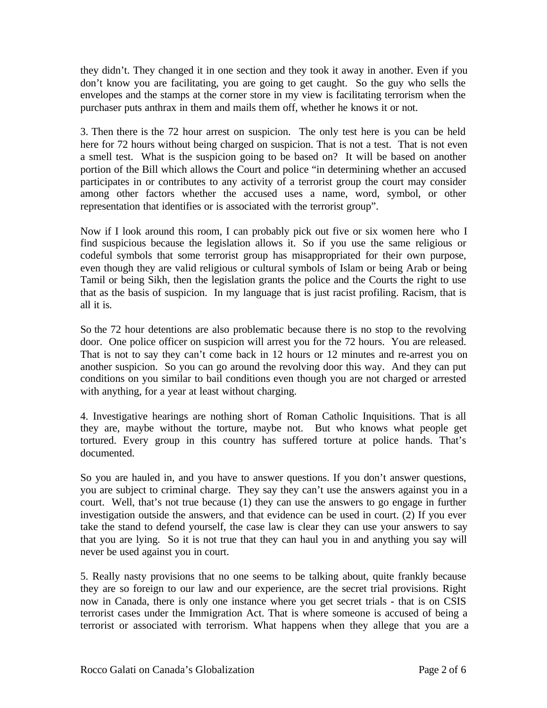they didn't. They changed it in one section and they took it away in another. Even if you don't know you are facilitating, you are going to get caught. So the guy who sells the envelopes and the stamps at the corner store in my view is facilitating terrorism when the purchaser puts anthrax in them and mails them off, whether he knows it or not.

3. Then there is the 72 hour arrest on suspicion. The only test here is you can be held here for 72 hours without being charged on suspicion. That is not a test. That is not even a smell test. What is the suspicion going to be based on? It will be based on another portion of the Bill which allows the Court and police "in determining whether an accused participates in or contributes to any activity of a terrorist group the court may consider among other factors whether the accused uses a name, word, symbol, or other representation that identifies or is associated with the terrorist group".

Now if I look around this room, I can probably pick out five or six women here who I find suspicious because the legislation allows it. So if you use the same religious or codeful symbols that some terrorist group has misappropriated for their own purpose, even though they are valid religious or cultural symbols of Islam or being Arab or being Tamil or being Sikh, then the legislation grants the police and the Courts the right to use that as the basis of suspicion. In my language that is just racist profiling. Racism, that is all it is.

So the 72 hour detentions are also problematic because there is no stop to the revolving door. One police officer on suspicion will arrest you for the 72 hours. You are released. That is not to say they can't come back in 12 hours or 12 minutes and re-arrest you on another suspicion. So you can go around the revolving door this way. And they can put conditions on you similar to bail conditions even though you are not charged or arrested with anything, for a year at least without charging.

4. Investigative hearings are nothing short of Roman Catholic Inquisitions. That is all they are, maybe without the torture, maybe not. But who knows what people get tortured. Every group in this country has suffered torture at police hands. That's documented.

So you are hauled in, and you have to answer questions. If you don't answer questions, you are subject to criminal charge. They say they can't use the answers against you in a court. Well, that's not true because (1) they can use the answers to go engage in further investigation outside the answers, and that evidence can be used in court. (2) If you ever take the stand to defend yourself, the case law is clear they can use your answers to say that you are lying. So it is not true that they can haul you in and anything you say will never be used against you in court.

5. Really nasty provisions that no one seems to be talking about, quite frankly because they are so foreign to our law and our experience, are the secret trial provisions. Right now in Canada, there is only one instance where you get secret trials - that is on CSIS terrorist cases under the Immigration Act. That is where someone is accused of being a terrorist or associated with terrorism. What happens when they allege that you are a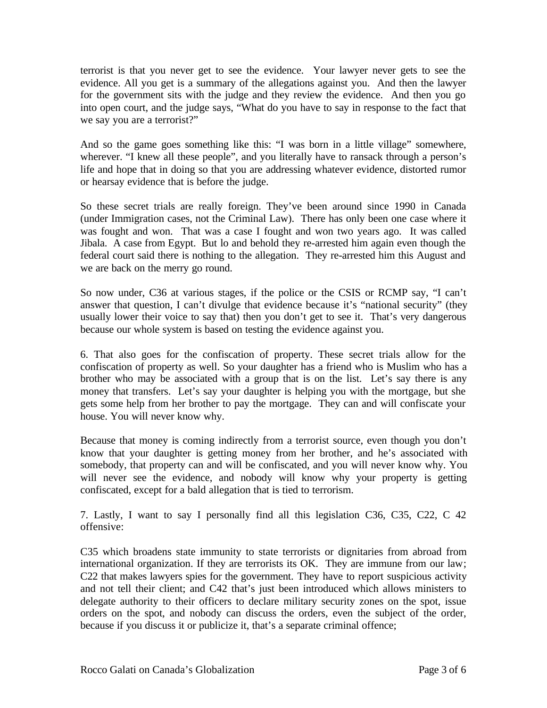terrorist is that you never get to see the evidence. Your lawyer never gets to see the evidence. All you get is a summary of the allegations against you. And then the lawyer for the government sits with the judge and they review the evidence. And then you go into open court, and the judge says, "What do you have to say in response to the fact that we say you are a terrorist?"

And so the game goes something like this: "I was born in a little village" somewhere, wherever. "I knew all these people", and you literally have to ransack through a person's life and hope that in doing so that you are addressing whatever evidence, distorted rumor or hearsay evidence that is before the judge.

So these secret trials are really foreign. They've been around since 1990 in Canada (under Immigration cases, not the Criminal Law). There has only been one case where it was fought and won. That was a case I fought and won two years ago. It was called Jibala. A case from Egypt. But lo and behold they re-arrested him again even though the federal court said there is nothing to the allegation. They re-arrested him this August and we are back on the merry go round.

So now under, C36 at various stages, if the police or the CSIS or RCMP say, "I can't answer that question, I can't divulge that evidence because it's "national security" (they usually lower their voice to say that) then you don't get to see it. That's very dangerous because our whole system is based on testing the evidence against you.

6. That also goes for the confiscation of property. These secret trials allow for the confiscation of property as well. So your daughter has a friend who is Muslim who has a brother who may be associated with a group that is on the list. Let's say there is any money that transfers. Let's say your daughter is helping you with the mortgage, but she gets some help from her brother to pay the mortgage. They can and will confiscate your house. You will never know why.

Because that money is coming indirectly from a terrorist source, even though you don't know that your daughter is getting money from her brother, and he's associated with somebody, that property can and will be confiscated, and you will never know why. You will never see the evidence, and nobody will know why your property is getting confiscated, except for a bald allegation that is tied to terrorism.

7. Lastly, I want to say I personally find all this legislation C36, C35, C22, C 42 offensive:

C35 which broadens state immunity to state terrorists or dignitaries from abroad from international organization. If they are terrorists its OK. They are immune from our law; C22 that makes lawyers spies for the government. They have to report suspicious activity and not tell their client; and C42 that's just been introduced which allows ministers to delegate authority to their officers to declare military security zones on the spot, issue orders on the spot, and nobody can discuss the orders, even the subject of the order, because if you discuss it or publicize it, that's a separate criminal offence;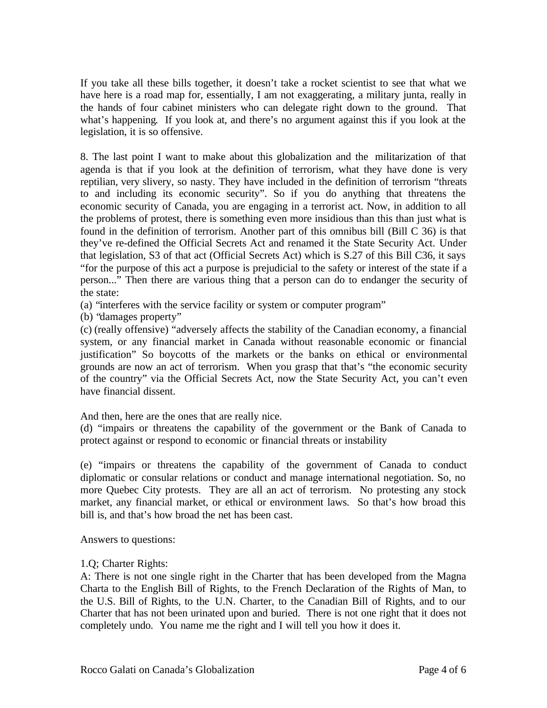If you take all these bills together, it doesn't take a rocket scientist to see that what we have here is a road map for, essentially, I am not exaggerating, a military junta, really in the hands of four cabinet ministers who can delegate right down to the ground. That what's happening. If you look at, and there's no argument against this if you look at the legislation, it is so offensive.

8. The last point I want to make about this globalization and the militarization of that agenda is that if you look at the definition of terrorism, what they have done is very reptilian, very slivery, so nasty. They have included in the definition of terrorism "threats to and including its economic security". So if you do anything that threatens the economic security of Canada, you are engaging in a terrorist act. Now, in addition to all the problems of protest, there is something even more insidious than this than just what is found in the definition of terrorism. Another part of this omnibus bill (Bill C 36) is that they've re-defined the Official Secrets Act and renamed it the State Security Act. Under that legislation, S3 of that act (Official Secrets Act) which is S.27 of this Bill C36, it says "for the purpose of this act a purpose is prejudicial to the safety or interest of the state if a person..." Then there are various thing that a person can do to endanger the security of the state:

(a) "interferes with the service facility or system or computer program"

(b) "damages property"

(c) (really offensive) "adversely affects the stability of the Canadian economy, a financial system, or any financial market in Canada without reasonable economic or financial justification" So boycotts of the markets or the banks on ethical or environmental grounds are now an act of terrorism. When you grasp that that's "the economic security of the country" via the Official Secrets Act, now the State Security Act, you can't even have financial dissent.

And then, here are the ones that are really nice.

(d) "impairs or threatens the capability of the government or the Bank of Canada to protect against or respond to economic or financial threats or instability

(e) "impairs or threatens the capability of the government of Canada to conduct diplomatic or consular relations or conduct and manage international negotiation. So, no more Quebec City protests. They are all an act of terrorism. No protesting any stock market, any financial market, or ethical or environment laws. So that's how broad this bill is, and that's how broad the net has been cast.

Answers to questions:

## 1.Q; Charter Rights:

A: There is not one single right in the Charter that has been developed from the Magna Charta to the English Bill of Rights, to the French Declaration of the Rights of Man, to the U.S. Bill of Rights, to the U.N. Charter, to the Canadian Bill of Rights, and to our Charter that has not been urinated upon and buried. There is not one right that it does not completely undo. You name me the right and I will tell you how it does it.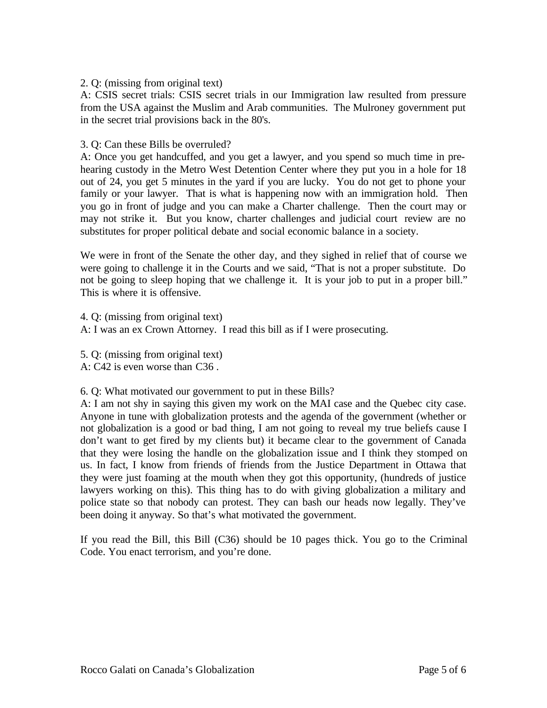2. Q: (missing from original text)

A: CSIS secret trials: CSIS secret trials in our Immigration law resulted from pressure from the USA against the Muslim and Arab communities. The Mulroney government put in the secret trial provisions back in the 80's.

## 3. Q: Can these Bills be overruled?

A: Once you get handcuffed, and you get a lawyer, and you spend so much time in prehearing custody in the Metro West Detention Center where they put you in a hole for 18 out of 24, you get 5 minutes in the yard if you are lucky. You do not get to phone your family or your lawyer. That is what is happening now with an immigration hold. Then you go in front of judge and you can make a Charter challenge. Then the court may or may not strike it. But you know, charter challenges and judicial court review are no substitutes for proper political debate and social economic balance in a society.

We were in front of the Senate the other day, and they sighed in relief that of course we were going to challenge it in the Courts and we said, "That is not a proper substitute. Do not be going to sleep hoping that we challenge it. It is your job to put in a proper bill." This is where it is offensive.

4. Q: (missing from original text)

A: I was an ex Crown Attorney. I read this bill as if I were prosecuting.

5. Q: (missing from original text) A: C42 is even worse than C36 .

6. Q: What motivated our government to put in these Bills?

A: I am not shy in saying this given my work on the MAI case and the Quebec city case. Anyone in tune with globalization protests and the agenda of the government (whether or not globalization is a good or bad thing, I am not going to reveal my true beliefs cause I don't want to get fired by my clients but) it became clear to the government of Canada that they were losing the handle on the globalization issue and I think they stomped on us. In fact, I know from friends of friends from the Justice Department in Ottawa that they were just foaming at the mouth when they got this opportunity, (hundreds of justice lawyers working on this). This thing has to do with giving globalization a military and police state so that nobody can protest. They can bash our heads now legally. They've been doing it anyway. So that's what motivated the government.

If you read the Bill, this Bill (C36) should be 10 pages thick. You go to the Criminal Code. You enact terrorism, and you're done.